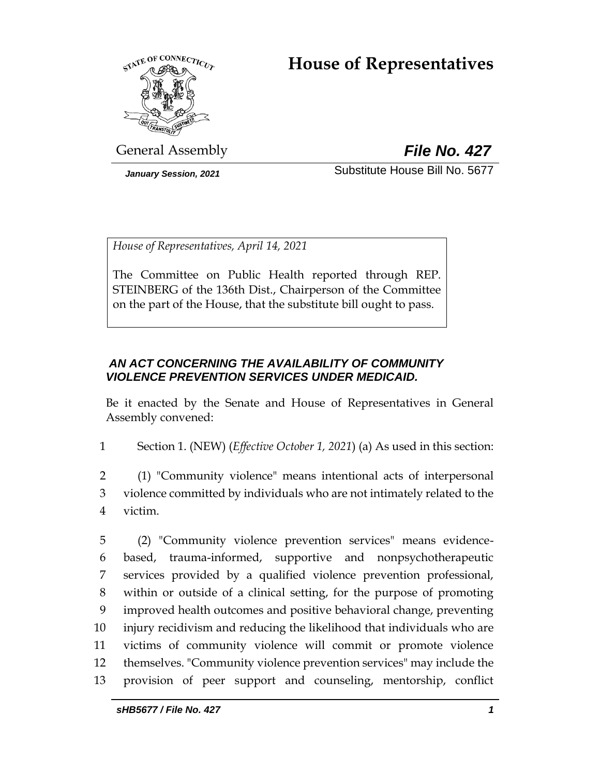# **House of Representatives**



General Assembly *File No. 427*

*January Session, 2021* Substitute House Bill No. 5677

*House of Representatives, April 14, 2021*

The Committee on Public Health reported through REP. STEINBERG of the 136th Dist., Chairperson of the Committee on the part of the House, that the substitute bill ought to pass.

### *AN ACT CONCERNING THE AVAILABILITY OF COMMUNITY VIOLENCE PREVENTION SERVICES UNDER MEDICAID.*

Be it enacted by the Senate and House of Representatives in General Assembly convened:

1 Section 1. (NEW) (*Effective October 1, 2021*) (a) As used in this section:

2 (1) "Community violence" means intentional acts of interpersonal 3 violence committed by individuals who are not intimately related to the 4 victim.

 (2) "Community violence prevention services" means evidence- based, trauma-informed, supportive and nonpsychotherapeutic services provided by a qualified violence prevention professional, within or outside of a clinical setting, for the purpose of promoting improved health outcomes and positive behavioral change, preventing injury recidivism and reducing the likelihood that individuals who are victims of community violence will commit or promote violence themselves. "Community violence prevention services" may include the provision of peer support and counseling, mentorship, conflict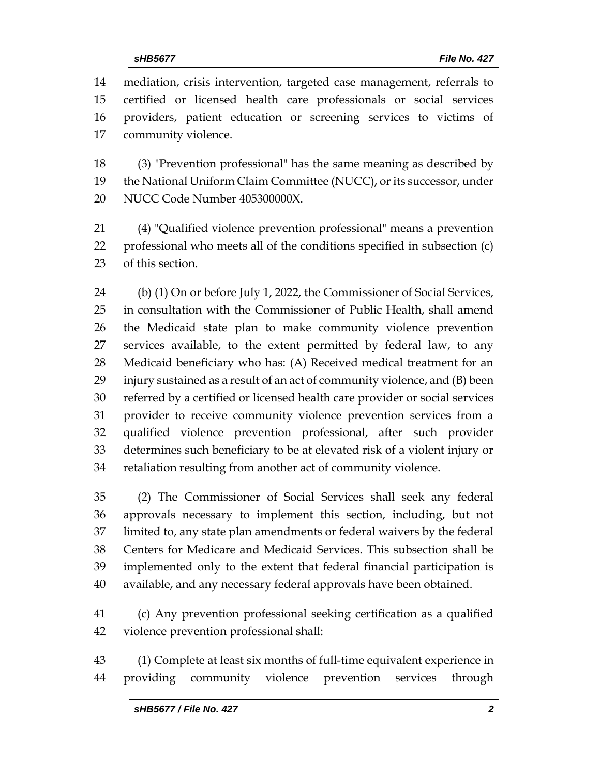mediation, crisis intervention, targeted case management, referrals to certified or licensed health care professionals or social services providers, patient education or screening services to victims of community violence.

 (3) "Prevention professional" has the same meaning as described by the National Uniform Claim Committee (NUCC), or its successor, under NUCC Code Number 405300000X.

 (4) "Qualified violence prevention professional" means a prevention professional who meets all of the conditions specified in subsection (c) of this section.

 (b) (1) On or before July 1, 2022, the Commissioner of Social Services, in consultation with the Commissioner of Public Health, shall amend the Medicaid state plan to make community violence prevention services available, to the extent permitted by federal law, to any Medicaid beneficiary who has: (A) Received medical treatment for an injury sustained as a result of an act of community violence, and (B) been referred by a certified or licensed health care provider or social services provider to receive community violence prevention services from a qualified violence prevention professional, after such provider determines such beneficiary to be at elevated risk of a violent injury or retaliation resulting from another act of community violence.

 (2) The Commissioner of Social Services shall seek any federal approvals necessary to implement this section, including, but not limited to, any state plan amendments or federal waivers by the federal Centers for Medicare and Medicaid Services. This subsection shall be implemented only to the extent that federal financial participation is available, and any necessary federal approvals have been obtained.

 (c) Any prevention professional seeking certification as a qualified violence prevention professional shall:

 (1) Complete at least six months of full-time equivalent experience in providing community violence prevention services through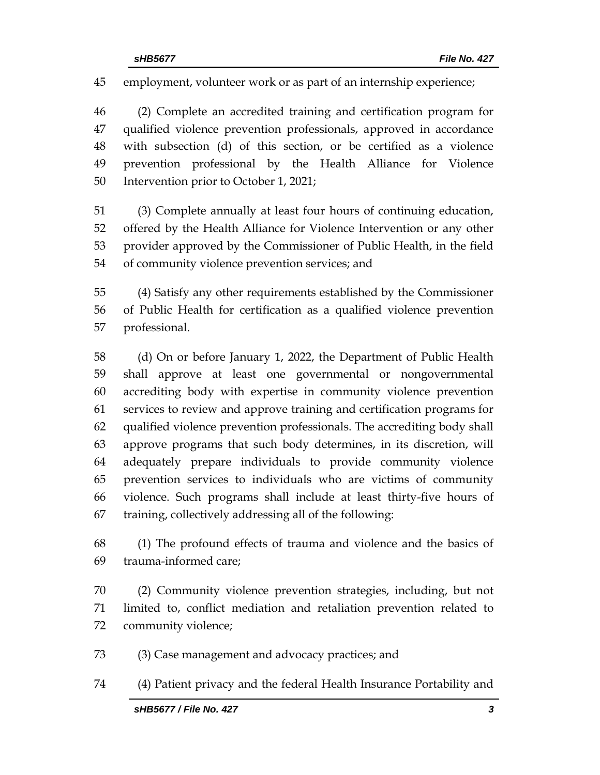employment, volunteer work or as part of an internship experience;

 (2) Complete an accredited training and certification program for qualified violence prevention professionals, approved in accordance with subsection (d) of this section, or be certified as a violence prevention professional by the Health Alliance for Violence Intervention prior to October 1, 2021;

 (3) Complete annually at least four hours of continuing education, offered by the Health Alliance for Violence Intervention or any other provider approved by the Commissioner of Public Health, in the field of community violence prevention services; and

 (4) Satisfy any other requirements established by the Commissioner of Public Health for certification as a qualified violence prevention professional.

 (d) On or before January 1, 2022, the Department of Public Health shall approve at least one governmental or nongovernmental accrediting body with expertise in community violence prevention services to review and approve training and certification programs for qualified violence prevention professionals. The accrediting body shall approve programs that such body determines, in its discretion, will adequately prepare individuals to provide community violence prevention services to individuals who are victims of community violence. Such programs shall include at least thirty-five hours of training, collectively addressing all of the following:

 (1) The profound effects of trauma and violence and the basics of trauma-informed care;

 (2) Community violence prevention strategies, including, but not limited to, conflict mediation and retaliation prevention related to community violence;

- (3) Case management and advocacy practices; and
- (4) Patient privacy and the federal Health Insurance Portability and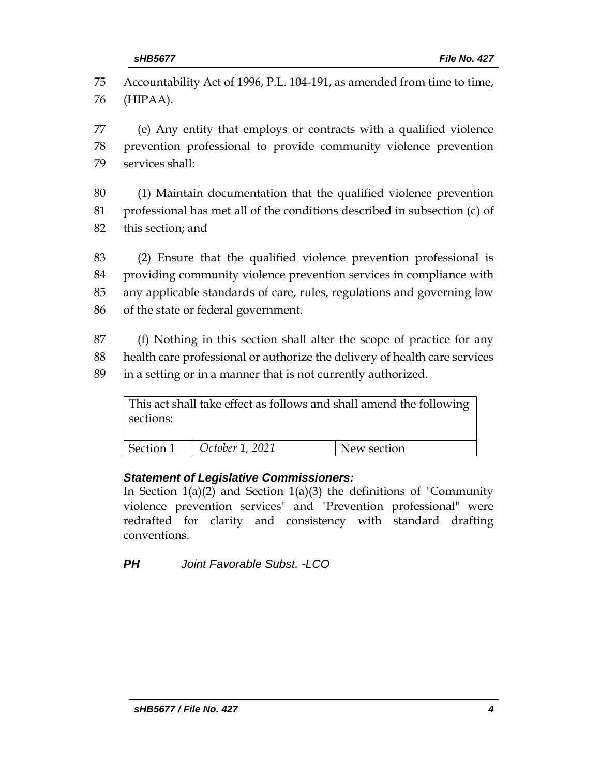75 Accountability Act of 1996, P.L. 104-191, as amended from time to time, 76 (HIPAA).

77 (e) Any entity that employs or contracts with a qualified violence 78 prevention professional to provide community violence prevention 79 services shall:

80 (1) Maintain documentation that the qualified violence prevention 81 professional has met all of the conditions described in subsection (c) of 82 this section; and

 (2) Ensure that the qualified violence prevention professional is providing community violence prevention services in compliance with any applicable standards of care, rules, regulations and governing law of the state or federal government.

87 (f) Nothing in this section shall alter the scope of practice for any 88 health care professional or authorize the delivery of health care services 89 in a setting or in a manner that is not currently authorized.

This act shall take effect as follows and shall amend the following sections: Section 1 *October 1, 2021* New section

### *Statement of Legislative Commissioners:*

In Section  $1(a)(2)$  and Section  $1(a)(3)$  the definitions of "Community" violence prevention services" and "Prevention professional" were redrafted for clarity and consistency with standard drafting conventions.

*PH Joint Favorable Subst. -LCO*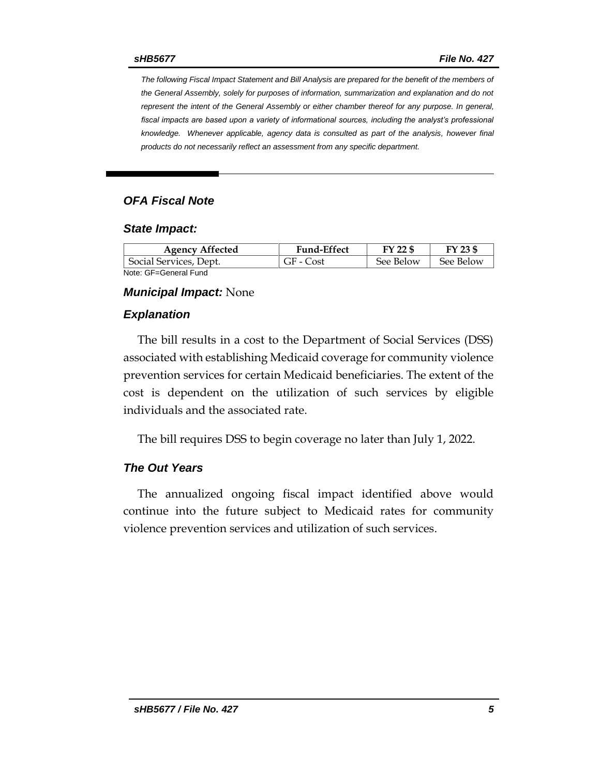*The following Fiscal Impact Statement and Bill Analysis are prepared for the benefit of the members of the General Assembly, solely for purposes of information, summarization and explanation and do not represent the intent of the General Assembly or either chamber thereof for any purpose. In general,*  fiscal impacts are based upon a variety of informational sources, including the analyst's professional *knowledge. Whenever applicable, agency data is consulted as part of the analysis, however final products do not necessarily reflect an assessment from any specific department.*

#### *OFA Fiscal Note*

#### *State Impact:*

| <b>Agency Affected</b> | <b>Fund-Effect</b> | FY 22 \$  | FY 23 \$  |
|------------------------|--------------------|-----------|-----------|
| Social Services, Dept. | GF - Cost          | See Below | See Below |
| Note: GF=General Fund  |                    |           |           |

#### *Municipal Impact:* None

#### *Explanation*

The bill results in a cost to the Department of Social Services (DSS) associated with establishing Medicaid coverage for community violence prevention services for certain Medicaid beneficiaries. The extent of the cost is dependent on the utilization of such services by eligible individuals and the associated rate.

The bill requires DSS to begin coverage no later than July 1, 2022.

#### *The Out Years*

The annualized ongoing fiscal impact identified above would continue into the future subject to Medicaid rates for community violence prevention services and utilization of such services.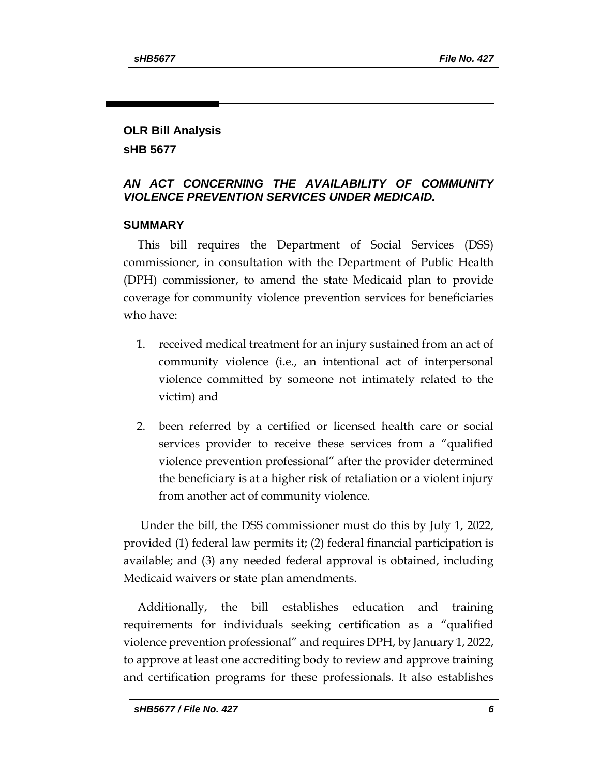#### **OLR Bill Analysis sHB 5677**

### *AN ACT CONCERNING THE AVAILABILITY OF COMMUNITY VIOLENCE PREVENTION SERVICES UNDER MEDICAID.*

### **SUMMARY**

This bill requires the Department of Social Services (DSS) commissioner, in consultation with the Department of Public Health (DPH) commissioner, to amend the state Medicaid plan to provide coverage for community violence prevention services for beneficiaries who have:

- 1. received medical treatment for an injury sustained from an act of community violence (i.e., an intentional act of interpersonal violence committed by someone not intimately related to the victim) and
- 2. been referred by a certified or licensed health care or social services provider to receive these services from a "qualified violence prevention professional" after the provider determined the beneficiary is at a higher risk of retaliation or a violent injury from another act of community violence.

Under the bill, the DSS commissioner must do this by July 1, 2022, provided (1) federal law permits it; (2) federal financial participation is available; and (3) any needed federal approval is obtained, including Medicaid waivers or state plan amendments.

Additionally, the bill establishes education and training requirements for individuals seeking certification as a "qualified violence prevention professional" and requires DPH, by January 1, 2022, to approve at least one accrediting body to review and approve training and certification programs for these professionals. It also establishes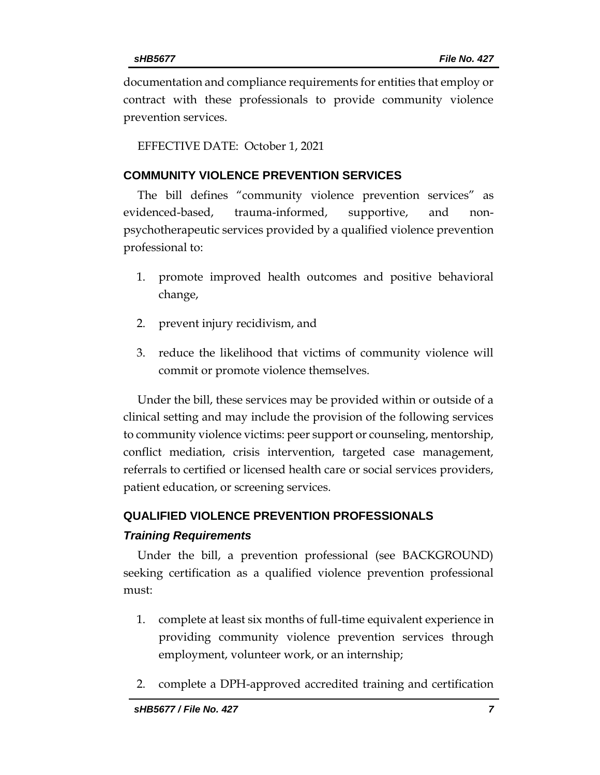documentation and compliance requirements for entities that employ or contract with these professionals to provide community violence prevention services.

EFFECTIVE DATE: October 1, 2021

#### **COMMUNITY VIOLENCE PREVENTION SERVICES**

The bill defines "community violence prevention services" as evidenced-based, trauma-informed, supportive, and nonpsychotherapeutic services provided by a qualified violence prevention professional to:

- 1. promote improved health outcomes and positive behavioral change,
- 2. prevent injury recidivism, and
- 3. reduce the likelihood that victims of community violence will commit or promote violence themselves.

Under the bill, these services may be provided within or outside of a clinical setting and may include the provision of the following services to community violence victims: peer support or counseling, mentorship, conflict mediation, crisis intervention, targeted case management, referrals to certified or licensed health care or social services providers, patient education, or screening services.

## **QUALIFIED VIOLENCE PREVENTION PROFESSIONALS** *Training Requirements*

Under the bill, a prevention professional (see BACKGROUND) seeking certification as a qualified violence prevention professional must:

- 1. complete at least six months of full-time equivalent experience in providing community violence prevention services through employment, volunteer work, or an internship;
- 2. complete a DPH-approved accredited training and certification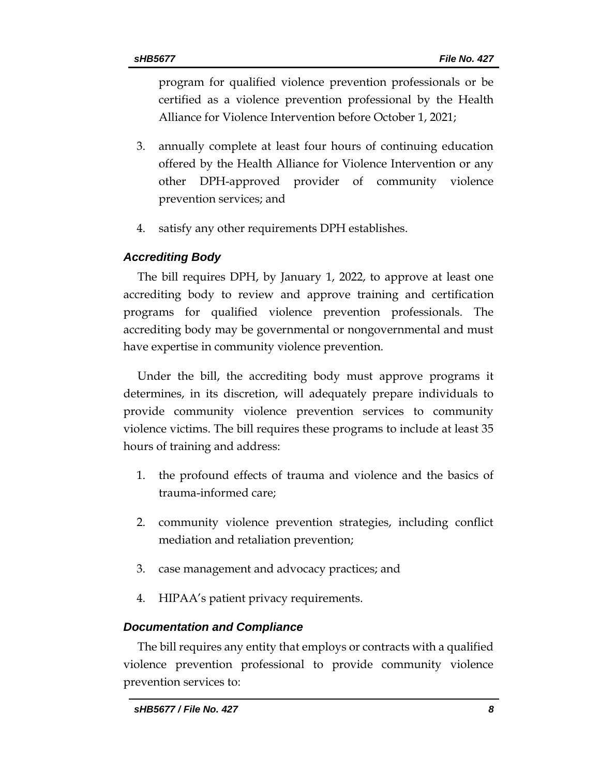program for qualified violence prevention professionals or be certified as a violence prevention professional by the Health Alliance for Violence Intervention before October 1, 2021;

- 3. annually complete at least four hours of continuing education offered by the Health Alliance for Violence Intervention or any other DPH-approved provider of community violence prevention services; and
- 4. satisfy any other requirements DPH establishes.

### *Accrediting Body*

The bill requires DPH, by January 1, 2022, to approve at least one accrediting body to review and approve training and certification programs for qualified violence prevention professionals. The accrediting body may be governmental or nongovernmental and must have expertise in community violence prevention.

Under the bill, the accrediting body must approve programs it determines, in its discretion, will adequately prepare individuals to provide community violence prevention services to community violence victims. The bill requires these programs to include at least 35 hours of training and address:

- 1. the profound effects of trauma and violence and the basics of trauma-informed care;
- 2. community violence prevention strategies, including conflict mediation and retaliation prevention;
- 3. case management and advocacy practices; and
- 4. HIPAA's patient privacy requirements.

### *Documentation and Compliance*

The bill requires any entity that employs or contracts with a qualified violence prevention professional to provide community violence prevention services to: